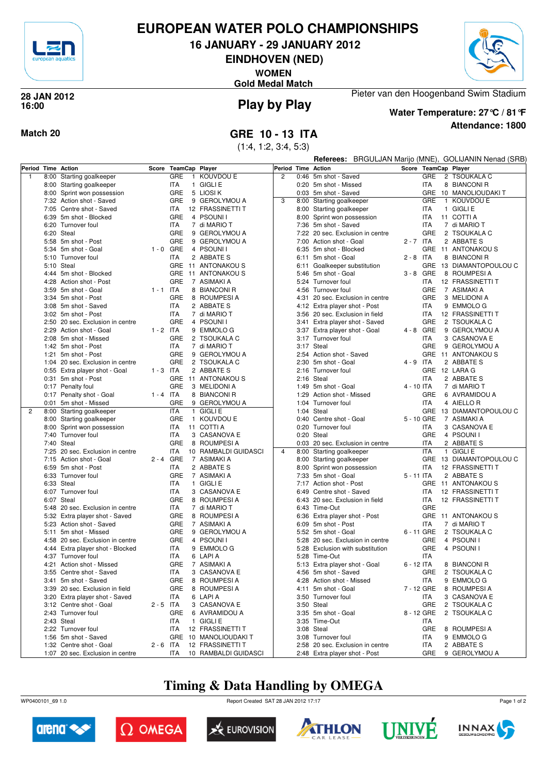

## **EUROPEAN WATER POLO CHAMPIONSHIPS**

**16 JANUARY - 29 JANUARY 2012**

**EINDHOVEN (NED)**

**WOMEN**

**Gold Medal Match**



#### **Play by Play 28 JAN 2012 16:00**



**Water Temperature: 27°C / 81°F**

Pieter van den Hoogenband Swim Stadium

**Attendance: 1800**

**Match 20 GRE 10 - 13 ITA**

(1:4, 1:2, 3:4, 5:3)

|   | Referees: BRGULJAN Marijo (MNE), GOLIJANIN Nenad (SRB) |                                                       |             |                       |                            |                    |      |                                                  |             |             |                         |
|---|--------------------------------------------------------|-------------------------------------------------------|-------------|-----------------------|----------------------------|--------------------|------|--------------------------------------------------|-------------|-------------|-------------------------|
|   |                                                        | Period Time Action                                    |             | Score TeamCap Player  |                            | Period Time Action |      |                                                  |             |             | Score TeamCap Player    |
| 1 |                                                        | 8:00 Starting goalkeeper                              |             | GRE<br>$\mathbf{1}$   | KOUVDOU E                  | $\overline{c}$     |      | 0:46 5m shot - Saved                             |             | <b>GRE</b>  | 2 TSOUKALA C            |
|   |                                                        | 8:00 Starting goalkeeper                              |             | ITA                   | 1 GIGLI E                  |                    |      | 0:20 5m shot - Missed                            |             | ITA         | 8 BIANCONI R            |
|   |                                                        | 8:00 Sprint won possession                            |             | GRE                   | 5 LIOSI K                  |                    |      | 0:03 5m shot - Saved                             |             | <b>GRE</b>  | 10 MANOLIOUDAKI T       |
|   |                                                        | 7:32 Action shot - Saved                              |             | GRE                   | 9 GEROLYMOU A              | 3                  |      | 8:00 Starting goalkeeper                         |             | GRE         | 1 KOUVDOU E             |
|   |                                                        | 7:05 Centre shot - Saved                              |             | ITA                   | 12 FRASSINETTI T           |                    |      | 8:00 Starting goalkeeper                         |             | ITA         | 1 GIGLI E               |
|   |                                                        | 6:39 5m shot - Blocked                                |             | GRE                   | 4 PSOUNII                  |                    |      | 8:00 Sprint won possession                       |             | ITA         | 11 COTTI A              |
|   |                                                        | 6:20 Turnover foul                                    |             | ITA                   | 7 di MARIO T               |                    |      | 7:36 5m shot - Saved                             |             | ITA         | 7 di MARIO T            |
|   |                                                        | 6:20 Steal                                            |             | GRE                   | 9 GEROLYMOU A              |                    |      | 7:22 20 sec. Exclusion in centre                 |             | GRE         | 2 TSOUKALA C            |
|   |                                                        | 5:58 5m shot - Post                                   |             | GRE                   | 9 GEROLYMOU A              |                    | 7:00 | Action shot - Goal                               | $2 - 7$ ITA |             | 2 ABBATE S              |
|   |                                                        | 5:34 5m shot - Goal                                   | $1 - 0$ GRE |                       | 4 PSOUNI I                 |                    |      | 6:35 5m shot - Blocked                           |             |             | GRE 11 ANTONAKOUS       |
|   |                                                        | 5:10 Turnover foul                                    |             | <b>ITA</b>            | 2 ABBATE S                 |                    |      | 6:11 5m shot - Goal                              | $2 - 8$ ITA |             | 8 BIANCONI R            |
|   |                                                        | 5:10 Steal                                            |             |                       | GRE 11 ANTONAKOUS          |                    |      | 6:11 Goalkeeper substitution                     |             |             | GRE 13 DIAMANTOPOULOU C |
|   |                                                        | 4:44 5m shot - Blocked                                |             |                       | GRE 11 ANTONAKOUS          |                    |      | 5:46 5m shot - Goal                              |             | $3 - 8$ GRE | 8 ROUMPESI A            |
|   |                                                        | 4:28 Action shot - Post                               |             | GRE                   | 7 ASIMAKI A                |                    |      | 5:24 Turnover foul                               |             | ITA         | 12 FRASSINETTI T        |
|   |                                                        | 3:59 5m shot - Goal                                   | $1 - 1$ ITA |                       | 8 BIANCONI R               |                    |      | 4:56 Turnover foul                               |             | GRE         | 7 ASIMAKI A             |
|   |                                                        | 3:34 5m shot - Post                                   |             | <b>GRE</b>            | 8 ROUMPESIA                |                    |      | 4:31 20 sec. Exclusion in centre                 |             | GRE         | 3 MELIDONI A            |
|   |                                                        | 3:08 5m shot - Saved                                  |             | <b>ITA</b>            | 2 ABBATE S                 |                    |      | 4:12 Extra player shot - Post                    |             | <b>ITA</b>  | 9 EMMOLO G              |
|   |                                                        | 3:02 5m shot - Post                                   |             | <b>ITA</b>            | 7 di MARIO T               |                    |      | 3:56 20 sec. Exclusion in field                  |             | <b>ITA</b>  | 12 FRASSINETTI T        |
|   |                                                        | 2:50 20 sec. Exclusion in centre                      |             | GRE                   | 4 PSOUNI I                 |                    |      | 3:41 Extra player shot - Saved                   |             | GRE         | 2 TSOUKALA C            |
|   |                                                        | 2:29 Action shot - Goal                               | $1 - 2$ ITA |                       | 9 EMMOLO G                 |                    |      | 3:37 Extra player shot - Goal                    |             | 4 - 8 GRE   | 9 GEROLYMOU A           |
|   |                                                        | 2:08 5m shot - Missed                                 |             | GRE                   | 2 TSOUKALA C               |                    |      | 3:17 Turnover foul                               |             | ITA         | 3 CASANOVA E            |
|   |                                                        | 1:42 5m shot - Post                                   |             | ITA                   | 7 di MARIO T               |                    |      | 3:17 Steal                                       |             | GRE         | 9 GEROLYMOU A           |
|   |                                                        | 1:21 5m shot - Post                                   |             | GRE                   | 9 GEROLYMOU A              |                    |      | 2:54 Action shot - Saved                         |             |             | GRE 11 ANTONAKOUS       |
|   |                                                        | 1:04 20 sec. Exclusion in centre                      |             | <b>GRE</b>            | 2 TSOUKALA C               |                    |      | 2:30 5m shot - Goal                              | 4 - 9 ITA   |             | 2 ABBATE S              |
|   |                                                        | 0:55 Extra player shot - Goal                         | $1 - 3$ ITA |                       | 2 ABBATE S                 |                    |      | 2:16 Turnover foul                               |             |             | GRE 12 LARA G           |
|   |                                                        | 0:31 5m shot - Post                                   |             |                       | GRE 11 ANTONAKOUS          |                    |      | 2:16 Steal                                       |             | <b>ITA</b>  | 2 ABBATE S              |
|   |                                                        | 0:17 Penalty foul                                     |             | GRE                   | 3 MELIDONI A               |                    |      | 1:49 5m shot - Goal                              | 4 - 10 ITA  |             | 7 di MARIO T            |
|   |                                                        | 0:17 Penalty shot - Goal                              | $1 - 4$ ITA |                       | 8 BIANCONI R               |                    |      | 1:29 Action shot - Missed                        |             | GRE         | 6 AVRAMIDOU A           |
|   |                                                        | 0:01 5m shot - Missed                                 |             | GRE                   | 9 GEROLYMOU A              |                    |      | 1:04 Turnover foul                               |             | ITA         | 4 AIELLO R              |
| 2 |                                                        | 8:00 Starting goalkeeper                              |             | ITA                   | 1 GIGLI E                  |                    |      | 1:04 Steal                                       |             |             | GRE 13 DIAMANTOPOULOU C |
|   |                                                        | 8:00 Starting goalkeeper                              |             | GRE<br>$\overline{1}$ | KOUVDOU E                  |                    |      | 0:40 Centre shot - Goal                          |             | 5 - 10 GRE  | 7 ASIMAKI A             |
|   |                                                        | 8:00 Sprint won possession                            |             | <b>ITA</b>            | 11 COTTI A                 |                    |      | 0:20 Turnover foul                               |             | <b>ITA</b>  | 3 CASANOVA E            |
|   |                                                        | 7:40 Turnover foul                                    |             | <b>ITA</b>            | 3 CASANOVA E               |                    |      | 0:20 Steal                                       |             | GRE         | 4 PSOUNI I              |
|   |                                                        | 7:40 Steal                                            |             | GRE                   | 8 ROUMPESI A               |                    |      | 0:03 20 sec. Exclusion in centre                 |             | ITA         | 2 ABBATE S              |
|   |                                                        | 7:25 20 sec. Exclusion in centre                      |             | ITA                   | 10 RAMBALDI GUIDASCI       | $\overline{4}$     |      | 8:00 Starting goalkeeper                         |             | <b>ITA</b>  | 1 GIGLI E               |
|   |                                                        | 7:15 Action shot - Goal                               | 2 - 4 GRE   |                       | 7 ASIMAKI A                |                    |      | 8:00 Starting goalkeeper                         |             |             | GRE 13 DIAMANTOPOULOU C |
|   |                                                        | 6:59 5m shot - Post                                   |             | ITA                   | 2 ABBATE S                 |                    |      | 8:00 Sprint won possession                       |             | <b>ITA</b>  | 12 FRASSINETTI T        |
|   |                                                        | 6:33 Turnover foul                                    |             | <b>GRE</b>            | 7 ASIMAKI A                |                    |      | 7:33 5m shot - Goal                              | 5 - 11 ITA  |             | 2 ABBATE S              |
|   |                                                        | 6:33 Steal                                            |             | <b>ITA</b>            | 1 GIGLI E                  |                    |      | 7:17 Action shot - Post                          |             | <b>GRE</b>  | 11 ANTONAKOU S          |
|   |                                                        | 6:07 Turnover foul                                    |             | <b>ITA</b>            | 3 CASANOVA E               |                    | 6:49 | Centre shot - Saved                              |             | <b>ITA</b>  | 12 FRASSINETTI T        |
|   |                                                        | 6:07 Steal                                            |             | GRE                   | 8 ROUMPESI A               |                    |      | 6:43 20 sec. Exclusion in field                  |             | ITA         | 12 FRASSINETTI T        |
|   |                                                        | 5:48 20 sec. Exclusion in centre                      |             | ITA                   | 7 di MARIO T               |                    |      | 6:43 Time-Out                                    |             | GRE         |                         |
|   |                                                        | 5:32 Extra player shot - Saved                        |             | GRE                   | 8 ROUMPESI A               |                    |      | 6:36 Extra player shot - Post                    |             |             | GRE 11 ANTONAKOUS       |
|   |                                                        | 5:23 Action shot - Saved                              |             | GRE                   | 7 ASIMAKI A                |                    |      | 6:09 5m shot - Post                              |             | <b>ITA</b>  | 7 di MARIO T            |
|   |                                                        | 5:11 5m shot - Missed                                 |             | GRE                   | 9 GEROLYMOU A              |                    |      | 5:52 5m shot - Goal                              |             | 6 - 11 GRE  | 2 TSOUKALA C            |
|   |                                                        | 4:58 20 sec. Exclusion in centre                      |             | GRE                   | 4 PSOUNII                  |                    | 5:28 | 20 sec. Exclusion in centre                      |             | GRE         | 4 PSOUNI I              |
|   |                                                        | 4:44 Extra player shot - Blocked                      |             | <b>ITA</b>            | 9 EMMOLO G                 |                    |      | 5:28 Exclusion with substitution                 |             | <b>GRE</b>  | 4 PSOUNI I              |
|   |                                                        | 4:37 Turnover foul                                    |             | ITA                   | 6 LAPI A                   |                    |      | 5:28 Time-Out                                    |             | ITA         |                         |
|   |                                                        | 4:21 Action shot - Missed<br>3:55 Centre shot - Saved |             | GRE                   | 7 ASIMAKI A                |                    |      | 5:13 Extra player shot - Goal                    | 6 - 12 ITA  |             | 8 BIANCONI R            |
|   |                                                        |                                                       |             | ITA                   | 3 CASANOVA E               |                    |      | 4:56 5m shot - Saved                             |             | GRE         | 2 TSOUKALA C            |
|   |                                                        | 3:41 5m shot - Saved                                  |             | GRE                   | 8 ROUMPESI A               |                    |      | 4:28 Action shot - Missed<br>4:11 5m shot - Goal |             | ITA         | 9 EMMOLO G              |
|   |                                                        | 3:39 20 sec. Exclusion in field                       |             | GRE<br>ITA            | 8 ROUMPESI A               |                    |      | 3:50 Turnover foul                               |             | 7 - 12 GRE  | 8 ROUMPESI A            |
|   |                                                        | 3:20 Extra player shot - Saved                        |             |                       | 6 LAPIA                    |                    |      |                                                  |             | ITA<br>GRE  | 3 CASANOVA E            |
|   |                                                        | 3:12 Centre shot - Goal                               | $2 - 5$ ITA | GRE                   | 3 CASANOVA E               |                    |      | 3:50 Steal                                       |             | 8 - 12 GRE  | 2 TSOUKALA C            |
|   |                                                        | 2:43 Turnover foul<br>2:43 Steal                      |             | ITA                   | 6 AVRAMIDOU A<br>1 GIGLI E |                    |      | 3:35 5m shot - Goal<br>3:35 Time-Out             |             | ITA         | 2 TSOUKALA C            |
|   |                                                        | 2:22 Turnover foul                                    |             | ITA                   | 12 FRASSINETTI T           |                    |      | 3:08 Steal                                       |             | GRE         | 8 ROUMPESI A            |
|   |                                                        | 1:56 5m shot - Saved                                  |             |                       | GRE 10 MANOLIOUDAKI T      |                    |      | 3:08 Turnover foul                               |             | ITA         | 9 EMMOLO G              |
|   |                                                        | 1:32 Centre shot - Goal                               | $2 - 6$ ITA |                       | 12 FRASSINETTI T           |                    |      | 2:58 20 sec. Exclusion in centre                 |             | ITA         | 2 ABBATE S              |
|   |                                                        | 1:07 20 sec. Exclusion in centre                      |             | ITA                   | 10 RAMBALDI GUIDASCI       |                    |      | 2:48 Extra player shot - Post                    |             |             | GRE 9 GEROLYMOU A       |
|   |                                                        |                                                       |             |                       |                            |                    |      |                                                  |             |             |                         |

# **Timing & Data Handling by OMEGA**

WP0400101\_69 1.0 Report Created SAT 28 JAN 2012 17:17













Page 1 of 2